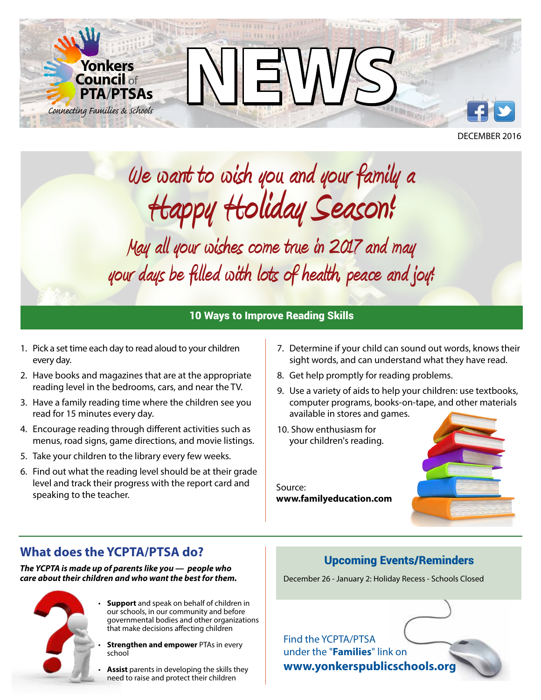

DECEMBER 2016

# **We want to wish you and your family a Happy Holiday Season!**

**May all your wishes come true in 2017 and may your days be filled with lots of health, peace and joy!** 

### 10 Ways to Improve Reading Skills

- 1. Pick a set time each day to read aloud to your children every day.
- 2. Have books and magazines that are at the appropriate reading level in the bedrooms, cars, and near the TV.
- 3. Have a family reading time where the children see you read for 15 minutes every day.
- 4. Encourage reading through different activities such as menus, road signs, game directions, and movie listings.
- 5. Take your children to the library every few weeks.
- 6. Find out what the reading level should be at their grade level and track their progress with the report card and speaking to the teacher.
- 7. Determine if your child can sound out words, knows their sight words, and can understand what they have read.
- 8. Get help promptly for reading problems.
- 9. Use a variety of aids to help your children: use textbooks, computer programs, books-on-tape, and other materials available in stores and games.
- 10. Show enthusiasm for your children's reading.

Source: **www.familyeducation.com**



## **What does the YCPTA/PTSA do?**

*The YCPTA is made up of parents like you — people who care about their children and who want the best for them.*



• **Support** and speak on behalf of children in our schools, in our community and before governmental bodies and other organizations that make decisions affecting children

• **Strengthen and empower** PTAs in every school

• **Assist** parents in developing the skills they need to raise and protect their children

#### Upcoming Events/Reminders

December 26 - January 2: Holiday Recess - Schools Closed